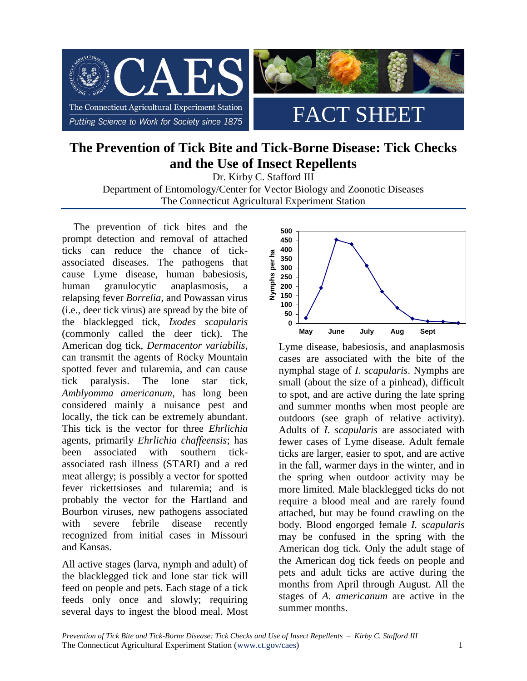

# **The Prevention of Tick Bite and Tick-Borne Disease: Tick Checks and the Use of Insect Repellents**

Dr. Kirby C. Stafford III Department of Entomology/Center for Vector Biology and Zoonotic Diseases The Connecticut Agricultural Experiment Station

The prevention of tick bites and the prompt detection and removal of attached ticks can reduce the chance of tickassociated diseases. The pathogens that cause Lyme disease, human babesiosis, human granulocytic anaplasmosis, relapsing fever *Borrelia*, and Powassan virus (i.e., deer tick virus) are spread by the bite of the blacklegged tick, *Ixodes scapularis* (commonly called the deer tick). The American dog tick, *Dermacentor variabilis*, can transmit the agents of Rocky Mountain spotted fever and tularemia, and can cause tick paralysis. The lone star tick, *Amblyomma americanum*, has long been considered mainly a nuisance pest and locally, the tick can be extremely abundant. This tick is the vector for three *Ehrlichia*  agents, primarily *Ehrlichia chaffeensis*; has been associated with southern tickassociated rash illness (STARI) and a red meat allergy; is possibly a vector for spotted fever rickettsioses and tularemia; and is probably the vector for the Hartland and Bourbon viruses, new pathogens associated with severe febrile disease recently recognized from initial cases in Missouri and Kansas.

All active stages (larva, nymph and adult) of the blacklegged tick and lone star tick will feed on people and pets. Each stage of a tick feeds only once and slowly; requiring several days to ingest the blood meal. Most



Lyme disease, babesiosis, and anaplasmosis cases are associated with the bite of the nymphal stage of *I*. *scapularis*. Nymphs are small (about the size of a pinhead), difficult to spot, and are active during the late spring and summer months when most people are outdoors (see graph of relative activity). Adults of *I*. *scapularis* are associated with fewer cases of Lyme disease. Adult female ticks are larger, easier to spot, and are active in the fall, warmer days in the winter, and in the spring when outdoor activity may be more limited. Male blacklegged ticks do not require a blood meal and are rarely found attached, but may be found crawling on the body. Blood engorged female *I. scapularis* may be confused in the spring with the American dog tick. Only the adult stage of the American dog tick feeds on people and pets and adult ticks are active during the months from April through August. All the stages of *A. americanum* are active in the summer months.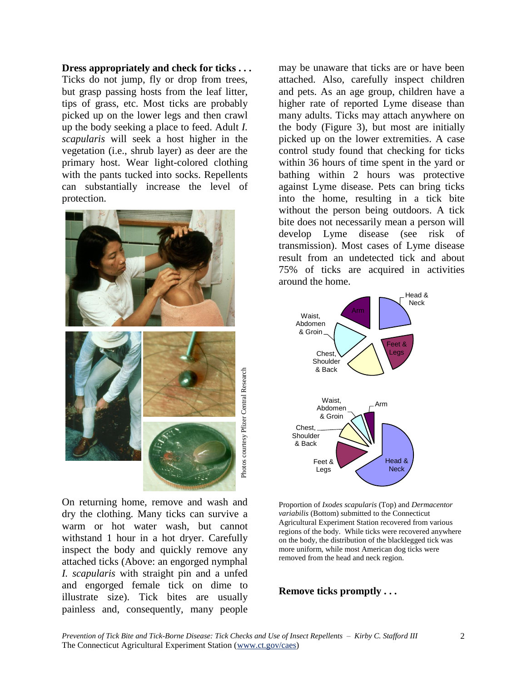**Dress appropriately and check for ticks . . .**

Ticks do not jump, fly or drop from trees, but grasp passing hosts from the leaf litter, tips of grass, etc. Most ticks are probably picked up on the lower legs and then crawl up the body seeking a place to feed. Adult *I. scapularis* will seek a host higher in the vegetation (i.e., shrub layer) as deer are the primary host. Wear light-colored clothing with the pants tucked into socks. Repellents can substantially increase the level of protection.



On returning home, remove and wash and dry the clothing. Many ticks can survive a warm or hot water wash, but cannot withstand 1 hour in a hot dryer. Carefully inspect the body and quickly remove any attached ticks (Above: an engorged nymphal *I. scapularis* with straight pin and a unfed and engorged female tick on dime to illustrate size). Tick bites are usually painless and, consequently, many people

may be unaware that ticks are or have been attached. Also, carefully inspect children and pets. As an age group, children have a higher rate of reported Lyme disease than many adults. Ticks may attach anywhere on the body (Figure 3), but most are initially picked up on the lower extremities. A case control study found that checking for ticks within 36 hours of time spent in the yard or bathing within 2 hours was protective against Lyme disease. Pets can bring ticks into the home, resulting in a tick bite without the person being outdoors. A tick bite does not necessarily mean a person will develop Lyme disease (see risk of transmission). Most cases of Lyme disease result from an undetected tick and about 75% of ticks are acquired in activities around the home.



Proportion of *Ixodes scapularis* (Top) and *Dermacentor variabilis* (Bottom) submitted to the Connecticut Agricultural Experiment Station recovered from various regions of the body. While ticks were recovered anywhere on the body, the distribution of the blacklegged tick was more uniform, while most American dog ticks were removed from the head and neck region.

**Remove ticks promptly . . .**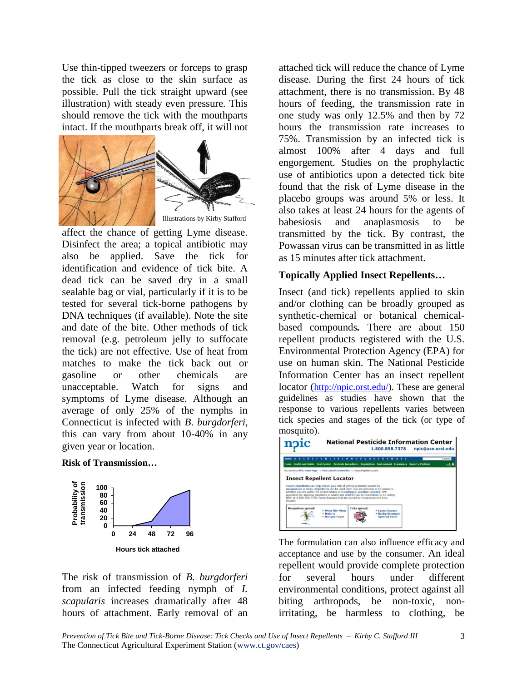Use thin-tipped tweezers or forceps to grasp the tick as close to the skin surface as possible. Pull the tick straight upward (see illustration) with steady even pressure. This should remove the tick with the mouthparts intact. If the mouthparts break off, it will not



affect the chance of getting Lyme disease. Disinfect the area; a topical antibiotic may also be applied. Save the tick for identification and evidence of tick bite. A dead tick can be saved dry in a small sealable bag or vial, particularly if it is to be tested for several tick-borne pathogens by DNA techniques (if available). Note the site and date of the bite. Other methods of tick removal (e.g. petroleum jelly to suffocate the tick) are not effective. Use of heat from matches to make the tick back out or gasoline or other chemicals are unacceptable. Watch for signs and symptoms of Lyme disease. Although an average of only 25% of the nymphs in Connecticut is infected with *B*. *burgdorferi*, this can vary from about 10-40% in any given year or location.

#### **Risk of Transmission…**



The risk of transmission of *B. burgdorferi* from an infected feeding nymph of *I. scapularis* increases dramatically after 48 hours of attachment. Early removal of an

attached tick will reduce the chance of Lyme disease. During the first 24 hours of tick attachment, there is no transmission. By 48 hours of feeding, the transmission rate in one study was only 12.5% and then by 72 hours the transmission rate increases to 75%. Transmission by an infected tick is almost 100% after 4 days and full engorgement. Studies on the prophylactic use of antibiotics upon a detected tick bite found that the risk of Lyme disease in the placebo groups was around 5% or less. It also takes at least 24 hours for the agents of babesiosis and anaplasmosis to be transmitted by the tick. By contrast, the Powassan virus can be transmitted in as little as 15 minutes after tick attachment.

## **Topically Applied Insect Repellents…**

Insect (and tick) repellents applied to skin and/or clothing can be broadly grouped as synthetic-chemical or botanical chemicalbased compounds*.* There are about 150 repellent products registered with the U.S. Environmental Protection Agency (EPA) for use on human skin. The National Pesticide Information Center has an insect repellent locator ([http://npic.orst.edu/\)](http://npic.orst.edu/). These are general guidelines as studies have shown that the response to various repellents varies between tick species and stages of the tick (or type of mosquito).



The formulation can also influence efficacy and acceptance and use by the consumer. An ideal repellent would provide complete protection for several hours under different environmental conditions, protect against all biting arthropods, be non-toxic, nonirritating, be harmless to clothing, be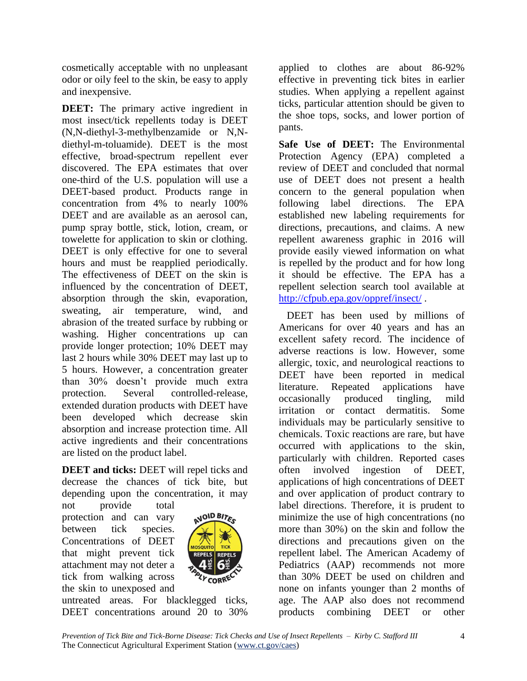cosmetically acceptable with no unpleasant odor or oily feel to the skin, be easy to apply and inexpensive.

**DEET:** The primary active ingredient in most insect/tick repellents today is DEET (N,N-diethyl-3-methylbenzamide or N,Ndiethyl-m-toluamide). DEET is the most effective, broad-spectrum repellent ever discovered. The EPA estimates that over one-third of the U.S. population will use a DEET-based product. Products range in concentration from 4% to nearly 100% DEET and are available as an aerosol can, pump spray bottle, stick, lotion, cream, or towelette for application to skin or clothing. DEET is only effective for one to several hours and must be reapplied periodically. The effectiveness of DEET on the skin is influenced by the concentration of DEET, absorption through the skin, evaporation, sweating, air temperature, wind, and abrasion of the treated surface by rubbing or washing. Higher concentrations up can provide longer protection; 10% DEET may last 2 hours while 30% DEET may last up to 5 hours. However, a concentration greater than 30% doesn't provide much extra protection. Several controlled-release, extended duration products with DEET have been developed which decrease skin absorption and increase protection time. All active ingredients and their concentrations are listed on the product label.

**DEET** and ticks: DEET will repel ticks and decrease the chances of tick bite, but depending upon the concentration, it may

not provide total protection and can vary between tick species. Concentrations of DEET that might prevent tick attachment may not deter a tick from walking across the skin to unexposed and



untreated areas. For blacklegged ticks, DEET concentrations around 20 to 30%

applied to clothes are about 86-92% effective in preventing tick bites in earlier studies. When applying a repellent against ticks, particular attention should be given to the shoe tops, socks, and lower portion of pants.

**Safe Use of DEET:** The Environmental Protection Agency (EPA) completed a review of DEET and concluded that normal use of DEET does not present a health concern to the general population when following label directions. The EPA established new labeling requirements for directions, precautions, and claims. A new repellent awareness graphic in 2016 will provide easily viewed information on what is repelled by the product and for how long it should be effective. The EPA has a repellent selection search tool available at <http://cfpub.epa.gov/oppref/insect/> .

DEET has been used by millions of Americans for over 40 years and has an excellent safety record. The incidence of adverse reactions is low. However, some allergic, toxic, and neurological reactions to DEET have been reported in medical literature. Repeated applications have occasionally produced tingling, mild irritation or contact dermatitis. Some individuals may be particularly sensitive to chemicals. Toxic reactions are rare, but have occurred with applications to the skin, particularly with children. Reported cases often involved ingestion of DEET, applications of high concentrations of DEET and over application of product contrary to label directions. Therefore, it is prudent to minimize the use of high concentrations (no more than 30%) on the skin and follow the directions and precautions given on the repellent label. The American Academy of Pediatrics (AAP) recommends not more than 30% DEET be used on children and none on infants younger than 2 months of age. The AAP also does not recommend products combining DEET or other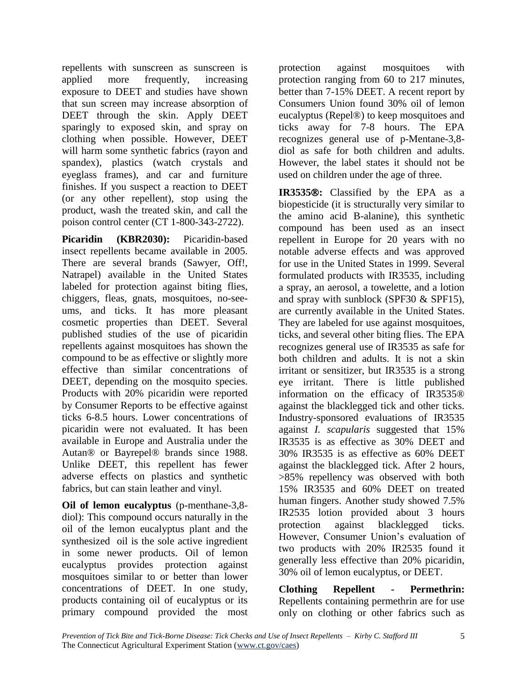repellents with sunscreen as sunscreen is applied more frequently, increasing exposure to DEET and studies have shown that sun screen may increase absorption of DEET through the skin. Apply DEET sparingly to exposed skin, and spray on clothing when possible. However, DEET will harm some synthetic fabrics (rayon and spandex), plastics (watch crystals and eyeglass frames), and car and furniture finishes. If you suspect a reaction to DEET (or any other repellent), stop using the product, wash the treated skin, and call the poison control center (CT 1-800-343-2722).

**Picaridin (KBR2030):** Picaridin-based insect repellents became available in 2005. There are several brands (Sawyer, Off!, Natrapel) available in the United States labeled for protection against biting flies, chiggers, fleas, gnats, mosquitoes, no-seeums, and ticks. It has more pleasant cosmetic properties than DEET. Several published studies of the use of picaridin repellents against mosquitoes has shown the compound to be as effective or slightly more effective than similar concentrations of DEET, depending on the mosquito species. Products with 20% picaridin were reported by Consumer Reports to be effective against ticks 6-8.5 hours. Lower concentrations of picaridin were not evaluated. It has been available in Europe and Australia under the Autan® or Bayrepel® brands since 1988. Unlike DEET, this repellent has fewer adverse effects on plastics and synthetic fabrics, but can stain leather and vinyl.

**Oil of lemon eucalyptus** (p-menthane-3,8 diol): This compound occurs naturally in the oil of the lemon eucalyptus plant and the synthesized oil is the sole active ingredient in some newer products. Oil of lemon eucalyptus provides protection against mosquitoes similar to or better than lower concentrations of DEET. In one study, products containing oil of eucalyptus or its primary compound provided the most

protection against mosquitoes with protection ranging from 60 to 217 minutes, better than 7-15% DEET. A recent report by Consumers Union found 30% oil of lemon eucalyptus (Repel®) to keep mosquitoes and ticks away for 7-8 hours. The EPA recognizes general use of p-Mentane-3,8 diol as safe for both children and adults. However, the label states it should not be used on children under the age of three.

**IR3535:** Classified by the EPA as a biopesticide (it is structurally very similar to the amino acid B-alanine), this synthetic compound has been used as an insect repellent in Europe for 20 years with no notable adverse effects and was approved for use in the United States in 1999. Several formulated products with IR3535, including a spray, an aerosol, a towelette, and a lotion and spray with sunblock (SPF30 & SPF15), are currently available in the United States. They are labeled for use against mosquitoes, ticks, and several other biting flies. The EPA recognizes general use of IR3535 as safe for both children and adults. It is not a skin irritant or sensitizer, but IR3535 is a strong eye irritant. There is little published information on the efficacy of IR3535® against the blacklegged tick and other ticks. Industry-sponsored evaluations of IR3535 against *I. scapularis* suggested that 15% IR3535 is as effective as 30% DEET and 30% IR3535 is as effective as 60% DEET against the blacklegged tick. After 2 hours, >85% repellency was observed with both 15% IR3535 and 60% DEET on treated human fingers. Another study showed 7.5% IR2535 lotion provided about 3 hours protection against blacklegged ticks. However, Consumer Union's evaluation of two products with 20% IR2535 found it generally less effective than 20% picaridin, 30% oil of lemon eucalyptus, or DEET.

**Clothing Repellent - Permethrin:** Repellents containing permethrin are for use only on clothing or other fabrics such as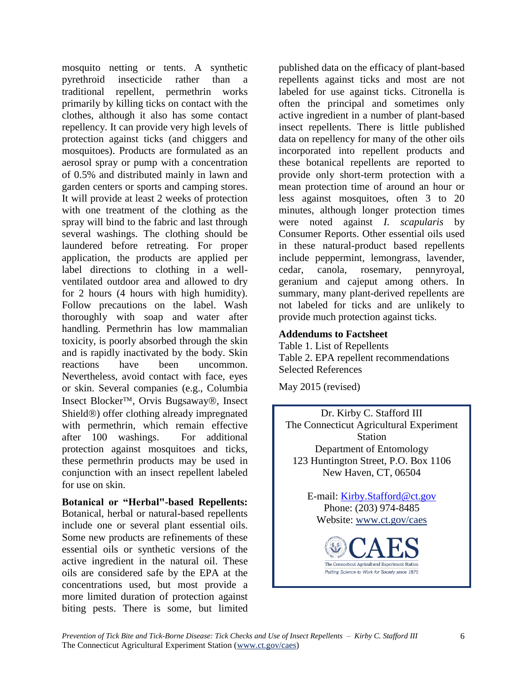mosquito netting or tents. A synthetic pyrethroid insecticide rather than a traditional repellent, permethrin works primarily by killing ticks on contact with the clothes, although it also has some contact repellency. It can provide very high levels of protection against ticks (and chiggers and mosquitoes). Products are formulated as an aerosol spray or pump with a concentration of 0.5% and distributed mainly in lawn and garden centers or sports and camping stores. It will provide at least 2 weeks of protection with one treatment of the clothing as the spray will bind to the fabric and last through several washings. The clothing should be laundered before retreating. For proper application, the products are applied per label directions to clothing in a wellventilated outdoor area and allowed to dry for 2 hours (4 hours with high humidity). Follow precautions on the label. Wash thoroughly with soap and water after handling. Permethrin has low mammalian toxicity, is poorly absorbed through the skin and is rapidly inactivated by the body. Skin reactions have been uncommon. Nevertheless, avoid contact with face, eyes or skin. Several companies (e.g., Columbia Insect Blocker<sup>™</sup>, Orvis Bugsaway®, Insect Shield<sup>®</sup>) offer clothing already impregnated with permethrin, which remain effective after 100 washings. For additional protection against mosquitoes and ticks, these permethrin products may be used in conjunction with an insect repellent labeled for use on skin.

**Botanical or "Herbal"-based Repellents:** Botanical, herbal or natural-based repellents include one or several plant essential oils. Some new products are refinements of these essential oils or synthetic versions of the active ingredient in the natural oil. These oils are considered safe by the EPA at the concentrations used, but most provide a more limited duration of protection against biting pests. There is some, but limited published data on the efficacy of plant-based repellents against ticks and most are not labeled for use against ticks. Citronella is often the principal and sometimes only active ingredient in a number of plant-based insect repellents. There is little published data on repellency for many of the other oils incorporated into repellent products and these botanical repellents are reported to provide only short-term protection with a mean protection time of around an hour or less against mosquitoes, often 3 to 20 minutes, although longer protection times were noted against *I. scapularis* by Consumer Reports. Other essential oils used in these natural-product based repellents include peppermint, lemongrass, lavender, cedar, canola, rosemary, pennyroyal, geranium and cajeput among others. In summary, many plant-derived repellents are not labeled for ticks and are unlikely to provide much protection against ticks.

## **Addendums to Factsheet**

Table 1. List of Repellents Table 2. EPA repellent recommendations Selected References

May 2015 (revised)

Dr. Kirby C. Stafford III The Connecticut Agricultural Experiment Station Department of Entomology 123 Huntington Street, P.O. Box 1106 New Haven, CT, 06504

> E-mail: [Kirby.Stafford@ct.gov](mailto:Kirby.Stafford@ct.gov) Phone: (203) 974-8485 Website: [www.ct.gov/caes](http://www.ct.gov/caes)

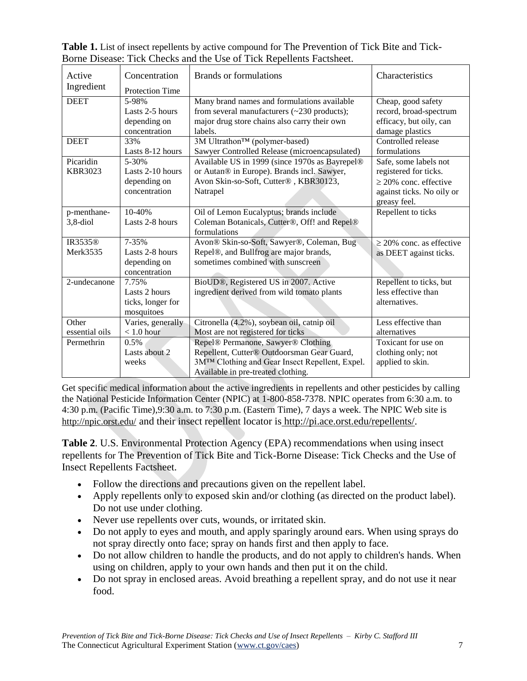| Active         | Concentration          | <b>Brands</b> or formulations                     | Characteristics               |
|----------------|------------------------|---------------------------------------------------|-------------------------------|
| Ingredient     | <b>Protection Time</b> |                                                   |                               |
| <b>DEET</b>    | 5-98%                  | Many brand names and formulations available       | Cheap, good safety            |
|                | Lasts 2-5 hours        | from several manufacturers $(\sim 230$ products); | record, broad-spectrum        |
|                | depending on           | major drug store chains also carry their own      | efficacy, but oily, can       |
|                | concentration          | labels.                                           | damage plastics               |
| <b>DEET</b>    | 33%                    | 3M Ultrathon™ (polymer-based)                     | Controlled release            |
|                | Lasts 8-12 hours       | Sawyer Controlled Release (microencapsulated)     | formulations                  |
| Picaridin      | $5 - 30%$              | Available US in 1999 (since 1970s as Bayrepel®    | Safe, some labels not         |
| <b>KBR3023</b> | Lasts 2-10 hours       | or Autan® in Europe). Brands incl. Sawyer,        | registered for ticks.         |
|                | depending on           | Avon Skin-so-Soft, Cutter®, KBR30123,             | $\geq$ 20% conc. effective    |
|                | concentration          | Natrapel                                          | against ticks. No oily or     |
|                |                        |                                                   | greasy feel.                  |
| p-menthane-    | 10-40%                 | Oil of Lemon Eucalyptus; brands include           | Repellent to ticks            |
| $3,8$ -diol    | Lasts 2-8 hours        | Coleman Botanicals, Cutter®, Off! and Repel®      |                               |
|                |                        | formulations                                      |                               |
| IR3535®        | 7-35%                  | Avon® Skin-so-Soft, Sawyer®, Coleman, Bug         | $\geq$ 20% conc. as effective |
| Merk3535       | Lasts 2-8 hours        | Repel®, and Bullfrog are major brands,            | as DEET against ticks.        |
|                | depending on           | sometimes combined with sunscreen                 |                               |
|                | concentration          |                                                   |                               |
| 2-undecanone   | 7.75%                  | BioUD®, Registered US in 2007. Active             | Repellent to ticks, but       |
|                | Lasts 2 hours          | ingredient derived from wild tomato plants        | less effective than           |
|                | ticks, longer for      |                                                   | alternatives.                 |
|                | mosquitoes             |                                                   |                               |
| Other          | Varies, generally      | Citronella (4.2%), soybean oil, catnip oil        | Less effective than           |
| essential oils | $< 1.0$ hour           | Most are not registered for ticks                 | alternatives                  |
| Permethrin     | 0.5%                   | Repel® Permanone, Sawyer® Clothing                | Toxicant for use on           |
|                | Lasts about 2          | Repellent, Cutter® Outdoorsman Gear Guard,        | clothing only; not            |
|                | weeks                  | 3M™ Clothing and Gear Insect Repellent, Expel.    | applied to skin.              |
|                |                        | Available in pre-treated clothing.                |                               |

**Table 1.** List of insect repellents by active compound for The Prevention of Tick Bite and Tick-Borne Disease: Tick Checks and the Use of Tick Repellents Factsheet.

Get specific medical information about the active ingredients in repellents and other pesticides by calling the National Pesticide Information Center (NPIC) at 1-800-858-7378. NPIC operates from 6:30 a.m. to 4:30 p.m. (Pacific Time),9:30 a.m. to 7:30 p.m. (Eastern Time), 7 days a week. The NPIC Web site is http://npic.orst.edu/ and their insect repellent locator is http://pi.ace.orst.edu/repellents/.

**Table 2**. U.S. Environmental Protection Agency (EPA) recommendations when using insect repellents for The Prevention of Tick Bite and Tick-Borne Disease: Tick Checks and the Use of Insect Repellents Factsheet.

- Follow the directions and precautions given on the repellent label.
- Apply repellents only to exposed skin and/or clothing (as directed on the product label). Do not use under clothing.
- Never use repellents over cuts, wounds, or irritated skin.
- Do not apply to eyes and mouth, and apply sparingly around ears. When using sprays do not spray directly onto face; spray on hands first and then apply to face.
- Do not allow children to handle the products, and do not apply to children's hands. When using on children, apply to your own hands and then put it on the child.
- Do not spray in enclosed areas. Avoid breathing a repellent spray, and do not use it near food.